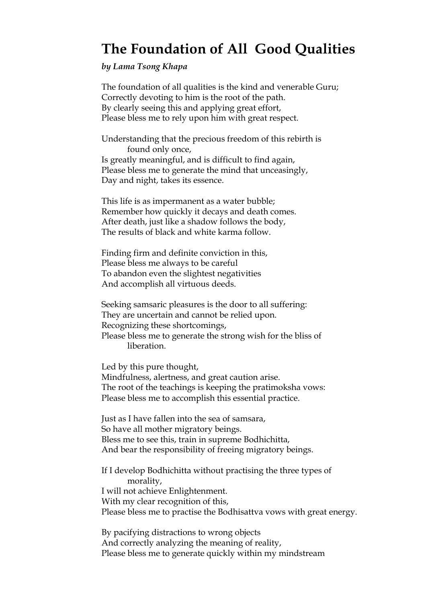## **The Foundation of All Good Qualities**

*by Lama Tsong Khapa*

The foundation of all qualities is the kind and venerable Guru; Correctly devoting to him is the root of the path. By clearly seeing this and applying great effort, Please bless me to rely upon him with great respect.

Understanding that the precious freedom of this rebirth is found only once, Is greatly meaningful, and is difficult to find again, Please bless me to generate the mind that unceasingly, Day and night, takes its essence.

This life is as impermanent as a water bubble; Remember how quickly it decays and death comes. After death, just like a shadow follows the body, The results of black and white karma follow.

Finding firm and definite conviction in this, Please bless me always to be careful To abandon even the slightest negativities And accomplish all virtuous deeds.

Seeking samsaric pleasures is the door to all suffering: They are uncertain and cannot be relied upon. Recognizing these shortcomings, Please bless me to generate the strong wish for the bliss of liberation.

Led by this pure thought, Mindfulness, alertness, and great caution arise. The root of the teachings is keeping the pratimoksha vows: Please bless me to accomplish this essential practice.

Just as I have fallen into the sea of samsara, So have all mother migratory beings. Bless me to see this, train in supreme Bodhichitta, And bear the responsibility of freeing migratory beings.

If I develop Bodhichitta without practising the three types of morality, I will not achieve Enlightenment. With my clear recognition of this, Please bless me to practise the Bodhisattva vows with great energy.

By pacifying distractions to wrong objects And correctly analyzing the meaning of reality, Please bless me to generate quickly within my mindstream